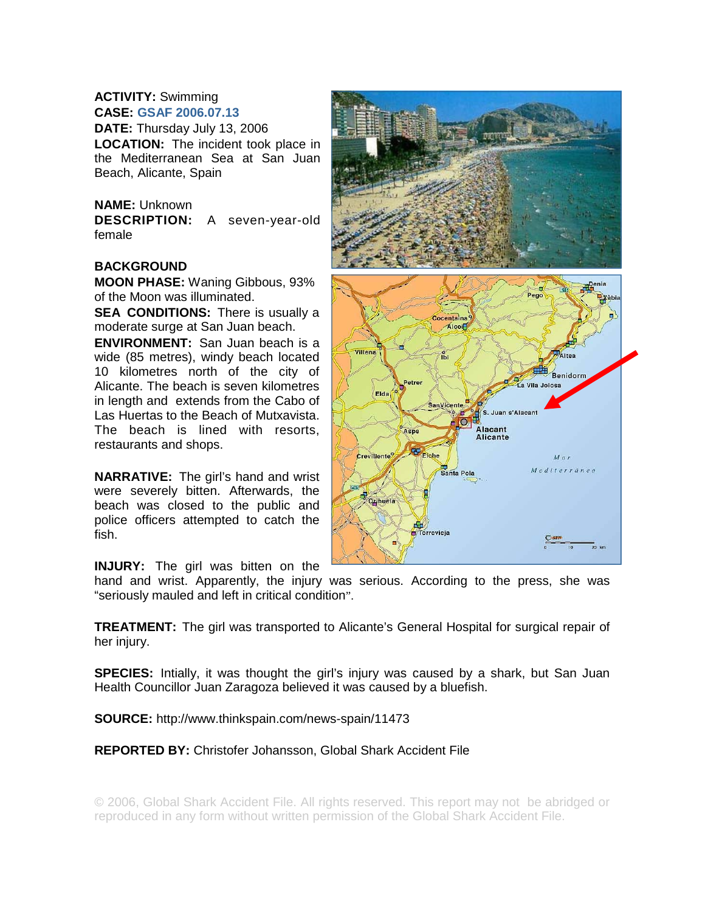## **ACTIVITY:** Swimming

**CASE: GSAF 2006.07.13** 

**DATE:** Thursday July 13, 2006 **LOCATION:** The incident took place in the Mediterranean Sea at San Juan Beach, Alicante, Spain

## **NAME:** Unknown

**DESCRIPTION:** A seven-year-old female

## **BACKGROUND**

**MOON PHASE:** Waning Gibbous, 93% of the Moon was illuminated.

**SEA CONDITIONS:** There is usually a moderate surge at San Juan beach.

**ENVIRONMENT:** San Juan beach is a wide (85 metres), windy beach located 10 kilometres north of the city of Alicante. The beach is seven kilometres in length and extends from the Cabo of Las Huertas to the Beach of Mutxavista. The beach is lined with resorts, restaurants and shops.

**NARRATIVE:** The girl's hand and wrist were severely bitten. Afterwards, the beach was closed to the public and police officers attempted to catch the fish.

**INJURY:** The girl was bitten on the



hand and wrist. Apparently, the injury was serious. According to the press, she was "seriously mauled and left in critical condition".

**TREATMENT:** The girl was transported to Alicante's General Hospital for surgical repair of her injury.

**SPECIES:** Intially, it was thought the girl's injury was caused by a shark, but San Juan Health Councillor Juan Zaragoza believed it was caused by a bluefish.

**SOURCE:** http://www.thinkspain.com/news-spain/11473

**REPORTED BY:** Christofer Johansson, Global Shark Accident File

© 2006, Global Shark Accident File. All rights reserved. This report may not be abridged or reproduced in any form without written permission of the Global Shark Accident File.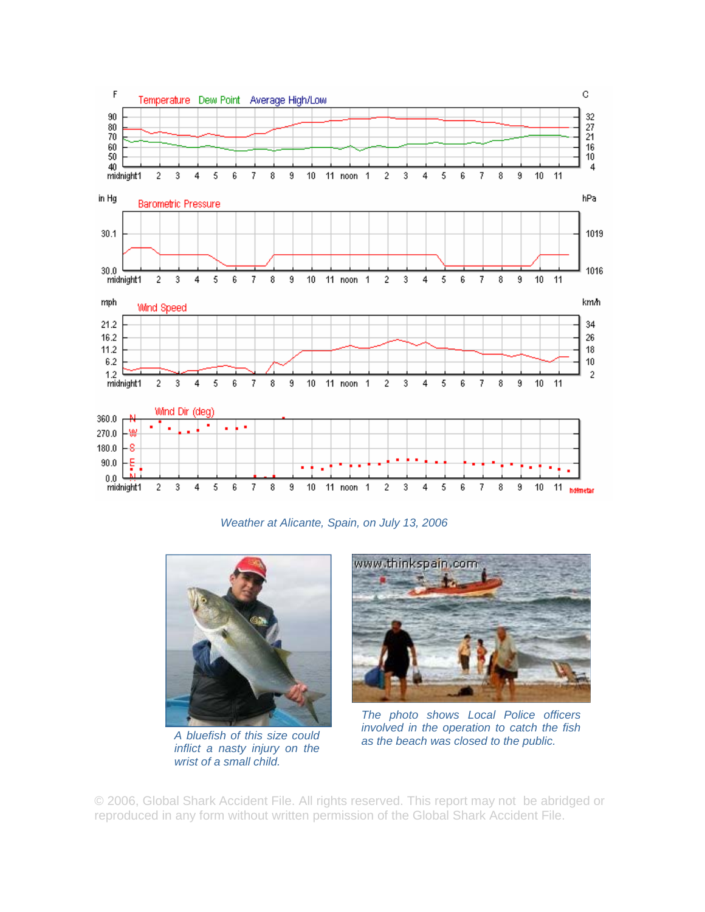

*Weather at Alicante, Spain, on July 13, 2006* 



*A bluefish of this size could inflict a nasty injury on the wrist of a small child.* 



*The photo shows Local Police officers involved in the operation to catch the fish as the beach was closed to the public.* 

© 2006, Global Shark Accident File. All rights reserved. This report may not be abridged or reproduced in any form without written permission of the Global Shark Accident File.